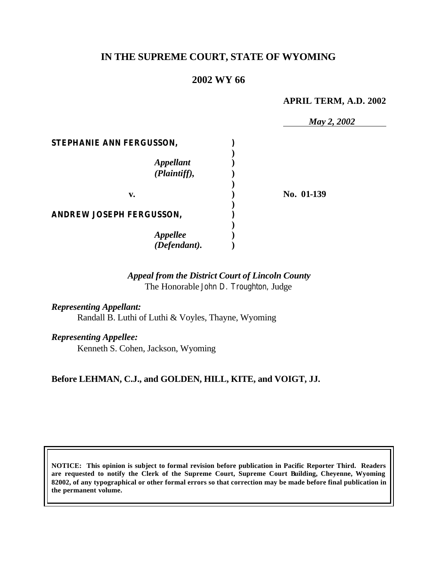# **IN THE SUPREME COURT, STATE OF WYOMING**

## **2002 WY 66**

## **APRIL TERM, A.D. 2002**

*May 2, 2002* **STEPHANIE ANN FERGUSSON, ) )** *Appellant* **)** *(Plaintiff),* **) ) v. ) No. 01-139 ) ANDREW JOSEPH FERGUSSON, ) )** *Appellee* **)** *(Defendant).* **)**

> *Appeal from the District Court of Lincoln County* The Honorable John D. Troughton, Judge

*Representing Appellant:*

Randall B. Luthi of Luthi & Voyles, Thayne, Wyoming

*Representing Appellee:*

Kenneth S. Cohen, Jackson, Wyoming

**Before LEHMAN, C.J., and GOLDEN, HILL, KITE, and VOIGT, JJ.**

**NOTICE: This opinion is subject to formal revision before publication in Pacific Reporter Third. Readers are requested to notify the Clerk of the Supreme Court, Supreme Court Building, Cheyenne, Wyoming 82002, of any typographical or other formal errors so that correction may be made before final publication in the permanent volume.**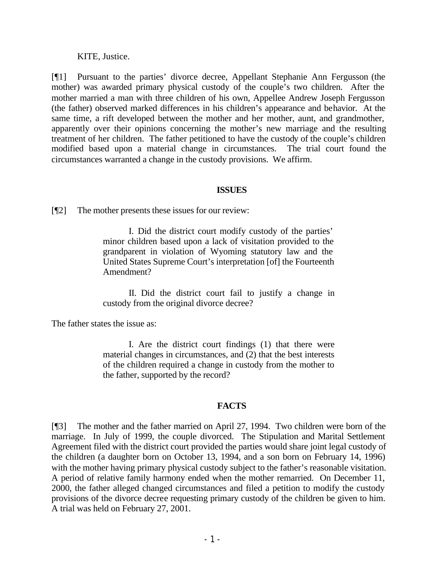## KITE, Justice.

[¶1] Pursuant to the parties' divorce decree, Appellant Stephanie Ann Fergusson (the mother) was awarded primary physical custody of the couple's two children. After the mother married a man with three children of his own, Appellee Andrew Joseph Fergusson (the father) observed marked differences in his children's appearance and behavior. At the same time, a rift developed between the mother and her mother, aunt, and grandmother, apparently over their opinions concerning the mother's new marriage and the resulting treatment of her children. The father petitioned to have the custody of the couple's children modified based upon a material change in circumstances. The trial court found the circumstances warranted a change in the custody provisions. We affirm.

## **ISSUES**

[¶2] The mother presents these issues for our review:

I. Did the district court modify custody of the parties' minor children based upon a lack of visitation provided to the grandparent in violation of Wyoming statutory law and the United States Supreme Court's interpretation [of] the Fourteenth Amendment?

II. Did the district court fail to justify a change in custody from the original divorce decree?

The father states the issue as:

I. Are the district court findings (1) that there were material changes in circumstances, and (2) that the best interests of the children required a change in custody from the mother to the father, supported by the record?

#### **FACTS**

[¶3] The mother and the father married on April 27, 1994. Two children were born of the marriage. In July of 1999, the couple divorced. The Stipulation and Marital Settlement Agreement filed with the district court provided the parties would share joint legal custody of the children (a daughter born on October 13, 1994, and a son born on February 14, 1996) with the mother having primary physical custody subject to the father's reasonable visitation. A period of relative family harmony ended when the mother remarried. On December 11, 2000, the father alleged changed circumstances and filed a petition to modify the custody provisions of the divorce decree requesting primary custody of the children be given to him. A trial was held on February 27, 2001.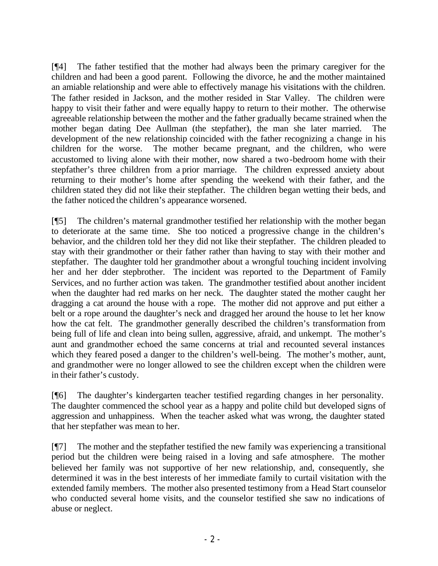[¶4] The father testified that the mother had always been the primary caregiver for the children and had been a good parent. Following the divorce, he and the mother maintained an amiable relationship and were able to effectively manage his visitations with the children. The father resided in Jackson, and the mother resided in Star Valley. The children were happy to visit their father and were equally happy to return to their mother. The otherwise agreeable relationship between the mother and the father gradually became strained when the mother began dating Dee Aullman (the stepfather), the man she later married. The development of the new relationship coincided with the father recognizing a change in his children for the worse. The mother became pregnant, and the children, who were accustomed to living alone with their mother, now shared a two-bedroom home with their stepfather's three children from a prior marriage. The children expressed anxiety about returning to their mother's home after spending the weekend with their father, and the children stated they did not like their stepfather. The children began wetting their beds, and the father noticed the children's appearance worsened.

[¶5] The children's maternal grandmother testified her relationship with the mother began to deteriorate at the same time. She too noticed a progressive change in the children's behavior, and the children told her they did not like their stepfather. The children pleaded to stay with their grandmother or their father rather than having to stay with their mother and stepfather. The daughter told her grandmother about a wrongful touching incident involving her and her dder stepbrother. The incident was reported to the Department of Family Services, and no further action was taken. The grandmother testified about another incident when the daughter had red marks on her neck. The daughter stated the mother caught her dragging a cat around the house with a rope. The mother did not approve and put either a belt or a rope around the daughter's neck and dragged her around the house to let her know how the cat felt. The grandmother generally described the children's transformation from being full of life and clean into being sullen, aggressive, afraid, and unkempt. The mother's aunt and grandmother echoed the same concerns at trial and recounted several instances which they feared posed a danger to the children's well-being. The mother's mother, aunt, and grandmother were no longer allowed to see the children except when the children were in their father's custody.

[¶6] The daughter's kindergarten teacher testified regarding changes in her personality. The daughter commenced the school year as a happy and polite child but developed signs of aggression and unhappiness. When the teacher asked what was wrong, the daughter stated that her stepfather was mean to her.

[¶7] The mother and the stepfather testified the new family was experiencing a transitional period but the children were being raised in a loving and safe atmosphere. The mother believed her family was not supportive of her new relationship, and, consequently, she determined it was in the best interests of her immediate family to curtail visitation with the extended family members. The mother also presented testimony from a Head Start counselor who conducted several home visits, and the counselor testified she saw no indications of abuse or neglect.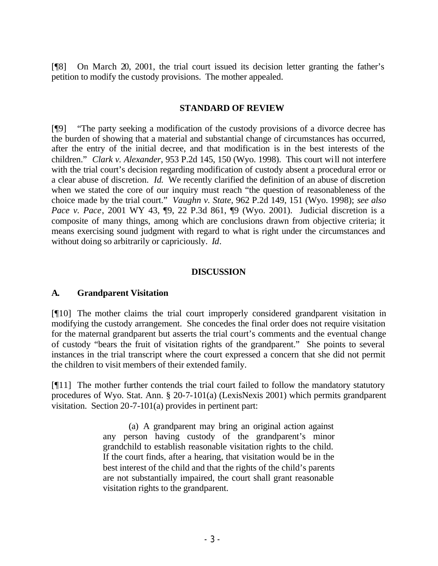[¶8] On March 20, 2001, the trial court issued its decision letter granting the father's petition to modify the custody provisions. The mother appealed.

## **STANDARD OF REVIEW**

[¶9] "The party seeking a modification of the custody provisions of a divorce decree has the burden of showing that a material and substantial change of circumstances has occurred, after the entry of the initial decree, and that modification is in the best interests of the children." *Clark v. Alexander*, 953 P.2d 145, 150 (Wyo. 1998). This court will not interfere with the trial court's decision regarding modification of custody absent a procedural error or a clear abuse of discretion. *Id.* We recently clarified the definition of an abuse of discretion when we stated the core of our inquiry must reach "the question of reasonableness of the choice made by the trial court." *Vaughn v. State*, 962 P.2d 149, 151 (Wyo. 1998); *see also Pace v. Pace*, 2001 WY 43, ¶9, 22 P.3d 861, ¶9 (Wyo. 2001). Judicial discretion is a composite of many things, among which are conclusions drawn from objective criteria; it means exercising sound judgment with regard to what is right under the circumstances and without doing so arbitrarily or capriciously. *Id*.

## **DISCUSSION**

## **A. Grandparent Visitation**

[¶10] The mother claims the trial court improperly considered grandparent visitation in modifying the custody arrangement. She concedes the final order does not require visitation for the maternal grandparent but asserts the trial court's comments and the eventual change of custody "bears the fruit of visitation rights of the grandparent." She points to several instances in the trial transcript where the court expressed a concern that she did not permit the children to visit members of their extended family.

[¶11] The mother further contends the trial court failed to follow the mandatory statutory procedures of Wyo. Stat. Ann. § 20-7-101(a) (LexisNexis 2001) which permits grandparent visitation. Section 20-7-101(a) provides in pertinent part:

> (a) A grandparent may bring an original action against any person having custody of the grandparent's minor grandchild to establish reasonable visitation rights to the child. If the court finds, after a hearing, that visitation would be in the best interest of the child and that the rights of the child's parents are not substantially impaired, the court shall grant reasonable visitation rights to the grandparent.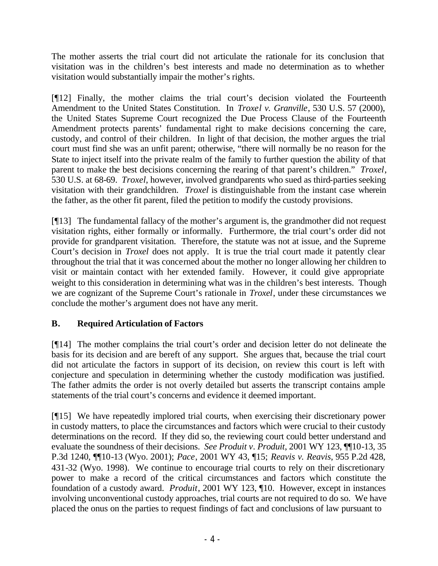The mother asserts the trial court did not articulate the rationale for its conclusion that visitation was in the children's best interests and made no determination as to whether visitation would substantially impair the mother's rights.

[¶12] Finally, the mother claims the trial court's decision violated the Fourteenth Amendment to the United States Constitution. In *Troxel v. Granville*, 530 U.S. 57 (2000), the United States Supreme Court recognized the Due Process Clause of the Fourteenth Amendment protects parents' fundamental right to make decisions concerning the care, custody, and control of their children. In light of that decision, the mother argues the trial court must find she was an unfit parent; otherwise, "there will normally be no reason for the State to inject itself into the private realm of the family to further question the ability of that parent to make the best decisions concerning the rearing of that parent's children." *Troxel*, 530 U.S. at 68-69. *Troxel*, however, involved grandparents who sued as third-parties seeking visitation with their grandchildren. *Troxel* is distinguishable from the instant case wherein the father, as the other fit parent, filed the petition to modify the custody provisions.

[¶13] The fundamental fallacy of the mother's argument is, the grandmother did not request visitation rights, either formally or informally. Furthermore, the trial court's order did not provide for grandparent visitation. Therefore, the statute was not at issue, and the Supreme Court's decision in *Troxel* does not apply. It is true the trial court made it patently clear throughout the trial that it was concerned about the mother no longer allowing her children to visit or maintain contact with her extended family. However, it could give appropriate weight to this consideration in determining what was in the children's best interests. Though we are cognizant of the Supreme Court's rationale in *Troxel*, under these circumstances we conclude the mother's argument does not have any merit.

# **B. Required Articulation of Factors**

[¶14] The mother complains the trial court's order and decision letter do not delineate the basis for its decision and are bereft of any support. She argues that, because the trial court did not articulate the factors in support of its decision, on review this court is left with conjecture and speculation in determining whether the custody modification was justified. The father admits the order is not overly detailed but asserts the transcript contains ample statements of the trial court's concerns and evidence it deemed important.

[¶15] We have repeatedly implored trial courts, when exercising their discretionary power in custody matters, to place the circumstances and factors which were crucial to their custody determinations on the record. If they did so, the reviewing court could better understand and evaluate the soundness of their decisions. *See Produit v. Produit*, 2001 WY 123, ¶¶10-13, 35 P.3d 1240, ¶¶10-13 (Wyo. 2001); *Pace*, 2001 WY 43, ¶15; *Reavis v. Reavis*, 955 P.2d 428, 431-32 (Wyo. 1998). We continue to encourage trial courts to rely on their discretionary power to make a record of the critical circumstances and factors which constitute the foundation of a custody award. *Produit*, 2001 WY 123, ¶10. However, except in instances involving unconventional custody approaches, trial courts are not required to do so. We have placed the onus on the parties to request findings of fact and conclusions of law pursuant to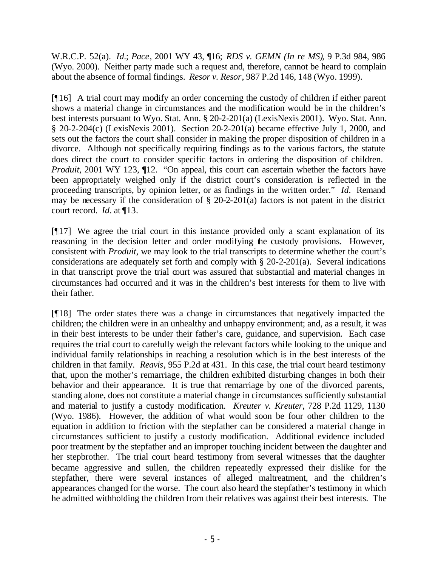W.R.C.P. 52(a). *Id.*; *Pace*, 2001 WY 43, ¶16; *RDS v. GEMN (In re MS)*, 9 P.3d 984, 986 (Wyo. 2000). Neither party made such a request and, therefore, cannot be heard to complain about the absence of formal findings. *Resor v. Resor*, 987 P.2d 146, 148 (Wyo. 1999).

[¶16] A trial court may modify an order concerning the custody of children if either parent shows a material change in circumstances and the modification would be in the children's best interests pursuant to Wyo. Stat. Ann. § 20-2-201(a) (LexisNexis 2001). Wyo. Stat. Ann. § 20-2-204(c) (LexisNexis 2001). Section 20-2-201(a) became effective July 1, 2000, and sets out the factors the court shall consider in making the proper disposition of children in a divorce. Although not specifically requiring findings as to the various factors, the statute does direct the court to consider specific factors in ordering the disposition of children. *Produit*, 2001 WY 123, ¶12. "On appeal, this court can ascertain whether the factors have been appropriately weighed only if the district court's consideration is reflected in the proceeding transcripts, by opinion letter, or as findings in the written order." *Id.* Remand may be necessary if the consideration of § 20-2-201(a) factors is not patent in the district court record. *Id.* at ¶13.

[¶17] We agree the trial court in this instance provided only a scant explanation of its reasoning in the decision letter and order modifying the custody provisions. However, consistent with *Produit*, we may look to the trial transcripts to determine whether the court's considerations are adequately set forth and comply with § 20-2-201(a). Several indications in that transcript prove the trial court was assured that substantial and material changes in circumstances had occurred and it was in the children's best interests for them to live with their father.

[¶18] The order states there was a change in circumstances that negatively impacted the children; the children were in an unhealthy and unhappy environment; and, as a result, it was in their best interests to be under their father's care, guidance, and supervision. Each case requires the trial court to carefully weigh the relevant factors while looking to the unique and individual family relationships in reaching a resolution which is in the best interests of the children in that family. *Reavis*, 955 P.2d at 431. In this case, the trial court heard testimony that, upon the mother's remarriage, the children exhibited disturbing changes in both their behavior and their appearance. It is true that remarriage by one of the divorced parents, standing alone, does not constitute a material change in circumstances sufficiently substantial and material to justify a custody modification. *Kreuter v. Kreuter*, 728 P.2d 1129, 1130 (Wyo. 1986). However, the addition of what would soon be four other children to the equation in addition to friction with the stepfather can be considered a material change in circumstances sufficient to justify a custody modification. Additional evidence included poor treatment by the stepfather and an improper touching incident between the daughter and her stepbrother. The trial court heard testimony from several witnesses that the daughter became aggressive and sullen, the children repeatedly expressed their dislike for the stepfather, there were several instances of alleged maltreatment, and the children's appearances changed for the worse. The court also heard the stepfather's testimony in which he admitted withholding the children from their relatives was against their best interests. The